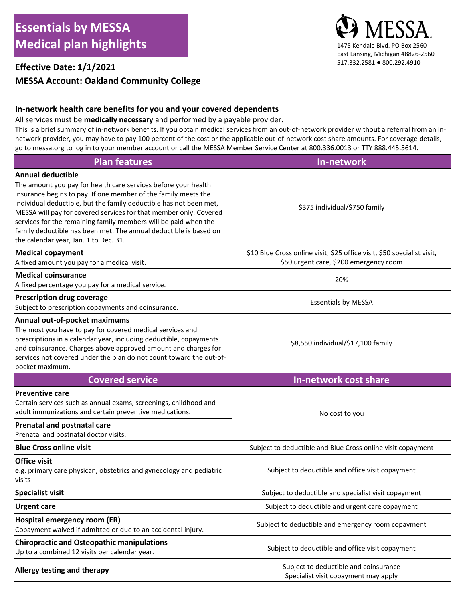# **MESSA Account: Oakland Community College**

#### **In-network health care benefits for you and your covered dependents**

All services must be **medically necessary** and performed by a payable provider.

This is a brief summary of in-network benefits. If you obtain medical services from an out-of-network provider without a referral from an innetwork provider, you may have to pay 100 percent of the cost or the applicable out-of-network cost share amounts. For coverage details, go to messa.org to log in to your member account or call the MESSA Member Service Center at 800.336.0013 or TTY 888.445.5614.

| <b>Plan features</b>                                                                                                                                                                                                                                                                                                                                                                                                                                                              | In-network                                                                                                        |
|-----------------------------------------------------------------------------------------------------------------------------------------------------------------------------------------------------------------------------------------------------------------------------------------------------------------------------------------------------------------------------------------------------------------------------------------------------------------------------------|-------------------------------------------------------------------------------------------------------------------|
| Annual deductible<br>The amount you pay for health care services before your health<br>insurance begins to pay. If one member of the family meets the<br>individual deductible, but the family deductible has not been met,<br>MESSA will pay for covered services for that member only. Covered<br>services for the remaining family members will be paid when the<br>family deductible has been met. The annual deductible is based on<br>the calendar year, Jan. 1 to Dec. 31. | \$375 individual/\$750 family                                                                                     |
| <b>Medical copayment</b><br>A fixed amount you pay for a medical visit.                                                                                                                                                                                                                                                                                                                                                                                                           | \$10 Blue Cross online visit, \$25 office visit, \$50 specialist visit,<br>\$50 urgent care, \$200 emergency room |
| <b>Medical coinsurance</b><br>A fixed percentage you pay for a medical service.                                                                                                                                                                                                                                                                                                                                                                                                   | 20%                                                                                                               |
| <b>Prescription drug coverage</b><br>Subject to prescription copayments and coinsurance.                                                                                                                                                                                                                                                                                                                                                                                          | <b>Essentials by MESSA</b>                                                                                        |
| Annual out-of-pocket maximums<br>The most you have to pay for covered medical services and<br>prescriptions in a calendar year, including deductible, copayments<br>and coinsurance. Charges above approved amount and charges for<br>services not covered under the plan do not count toward the out-of-<br>pocket maximum.                                                                                                                                                      | \$8,550 individual/\$17,100 family                                                                                |
|                                                                                                                                                                                                                                                                                                                                                                                                                                                                                   |                                                                                                                   |
| <b>Covered service</b>                                                                                                                                                                                                                                                                                                                                                                                                                                                            | In-network cost share                                                                                             |
| <b>Preventive care</b><br>Certain services such as annual exams, screenings, childhood and<br>adult immunizations and certain preventive medications.<br>Prenatal and postnatal care                                                                                                                                                                                                                                                                                              | No cost to you                                                                                                    |
| Prenatal and postnatal doctor visits.                                                                                                                                                                                                                                                                                                                                                                                                                                             |                                                                                                                   |
| <b>Blue Cross online visit</b>                                                                                                                                                                                                                                                                                                                                                                                                                                                    | Subject to deductible and Blue Cross online visit copayment                                                       |
| <b>Office visit</b><br>e.g. primary care physican, obstetrics and gynecology and pediatric<br>visits                                                                                                                                                                                                                                                                                                                                                                              | Subject to deductible and office visit copayment                                                                  |
| <b>Specialist visit</b>                                                                                                                                                                                                                                                                                                                                                                                                                                                           | Subject to deductible and specialist visit copayment                                                              |
| <b>Urgent care</b>                                                                                                                                                                                                                                                                                                                                                                                                                                                                | Subject to deductible and urgent care copayment                                                                   |
| <b>Hospital emergency room (ER)</b><br>Copayment waived if admitted or due to an accidental injury.                                                                                                                                                                                                                                                                                                                                                                               | Subject to deductible and emergency room copayment                                                                |
| <b>Chiropractic and Osteopathic manipulations</b><br>Up to a combined 12 visits per calendar year.                                                                                                                                                                                                                                                                                                                                                                                | Subject to deductible and office visit copayment                                                                  |